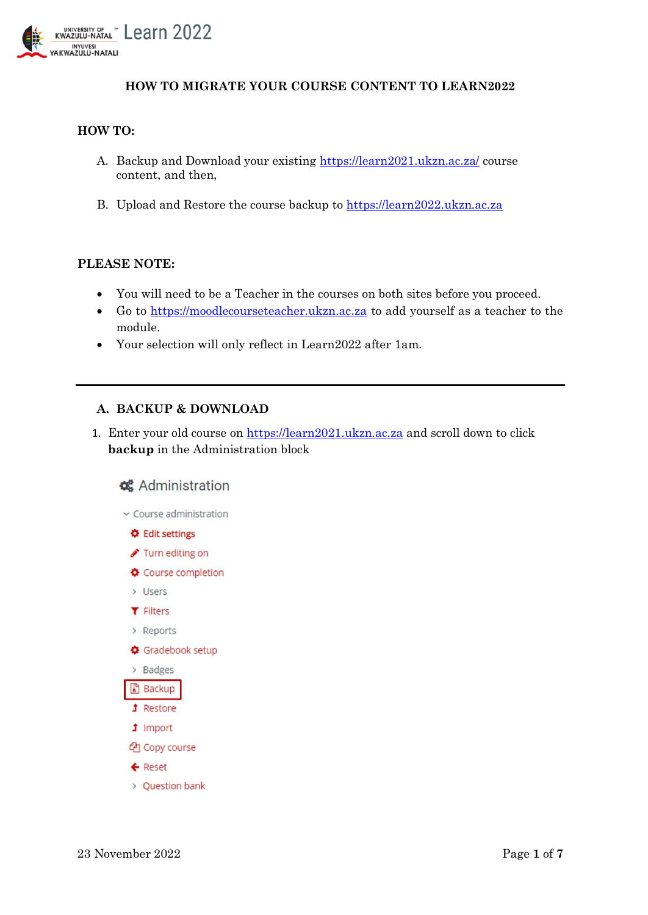

## **HOW TO MIGRATE YOUR COURSE CONTENT TO LEARN2022**

## **HOW TO:**

- A. Backup and Download your existing<https://learn2021.ukzn.ac.za/> course content, and then,
- B. Upload and Restore the course backup to [https://learn2022.ukzn.ac.za](https://learn2022.ukzn.ac.za/)

## **PLEASE NOTE:**

- You will need to be a Teacher in the courses on both sites before you proceed.
- Go to [https://moodlecourseteacher.ukzn.ac.za](https://moodlecourseteacher.ukzn.ac.za/) to add yourself as a teacher to the module.
- Your selection will only reflect in Learn2022 after 1am.

## **A. BACKUP & DOWNLOAD**

1. Enter your old course on [https://learn2021.ukzn.ac.za](https://learn2021.ukzn.ac.za/) and scroll down to click **backup** in the Administration block

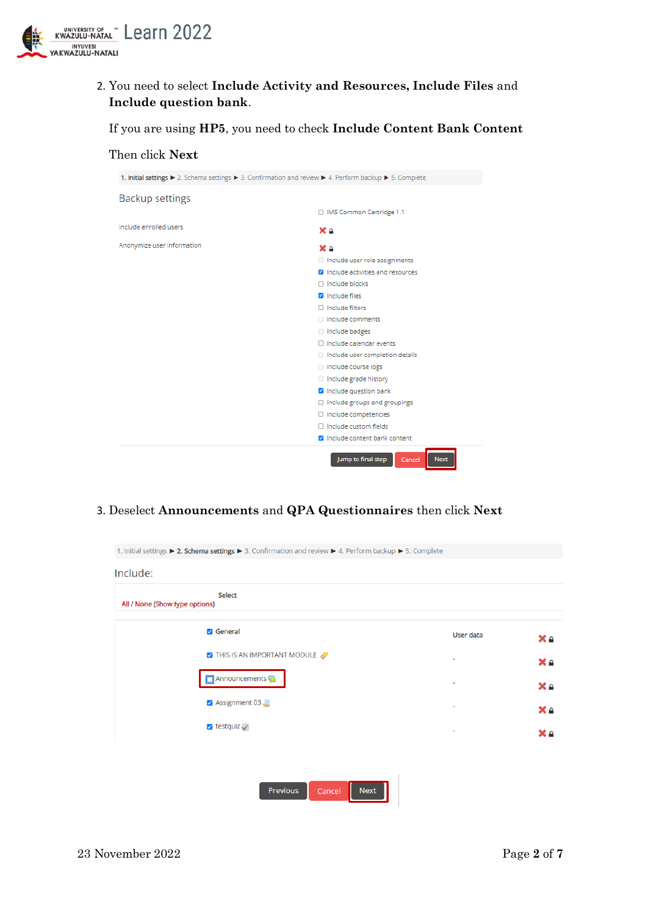

Then click **Next**

2. You need to select **Include Activity and Resources, Include Files** and **Include question bank**.

If you are using **HP5**, you need to check **Include Content Bank Content**

- 1. Initial settings ▶ 2. Schema settings ▶ 3. Confirmation and review ▶ 4. Perform backup ▶ 5. Complete **Backup settings** □ IMS Common Cartridge 1.1 Include enrolled users  $$ Anonymize user information X a Include user role assignments  $\blacksquare$  Include activities and resources  $\Box$  Include blocks **V** Include files  $\Box$  Include filters Il Include comments Include badges  $\Box$  Include calendar events Include user completion details Include course logs  $\Box$  Include grade history De Include question bank  $\Box$  Include groups and groupings  $\Box$  Include competencies  $\Box$  Include custom fields **2** Include content bank content Jump to final step Next Cancel
- 3. Deselect **Announcements** and **QPA Questionnaires** then click **Next**

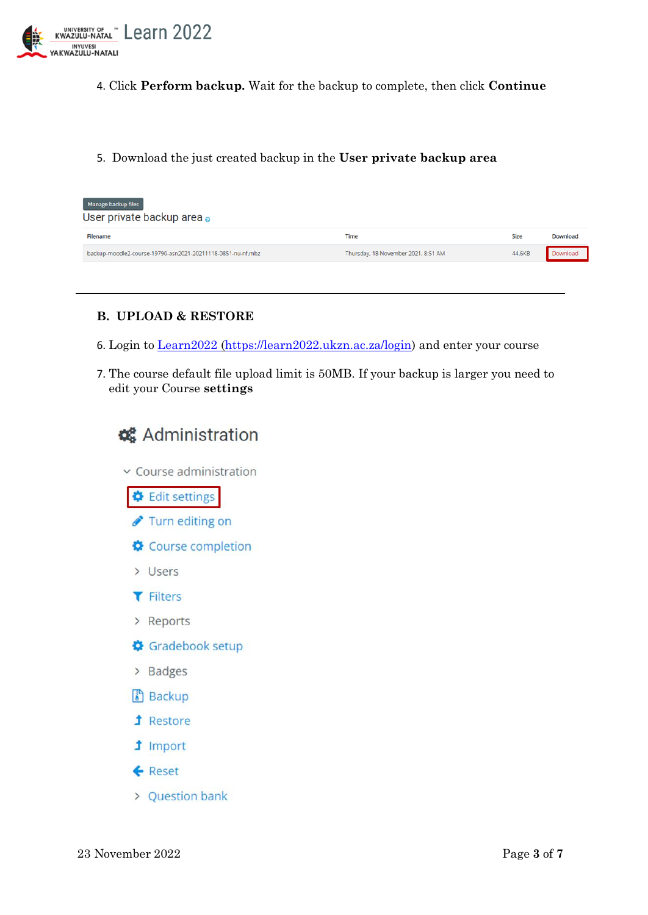

- 4. Click **Perform backup.** Wait for the backup to complete, then click **Continue**
- 5. Download the just created backup in the **User private backup area**

| Manage backup files<br>User private backup area o           |                                     |        |          |  |
|-------------------------------------------------------------|-------------------------------------|--------|----------|--|
| Filename                                                    | Time                                | Size   | Download |  |
| backup-moodle2-course-19790-asn2021-20211118-0851-nu-nf.mbz | Thursday, 18 November 2021, 8:51 AM | 44,6KB | Download |  |
|                                                             |                                     |        |          |  |

## **B. UPLOAD & RESTORE**

- 6. Login to [Learn2022](file:///C:/Users/ebrahimc/Desktop/Learn2022) [\(https://learn2022.ukzn.ac.za/login\)](https://learn2022.ukzn.ac.za/login) and enter your course
- 7. The course default file upload limit is 50MB. If your backup is larger you need to edit your Course **settings**

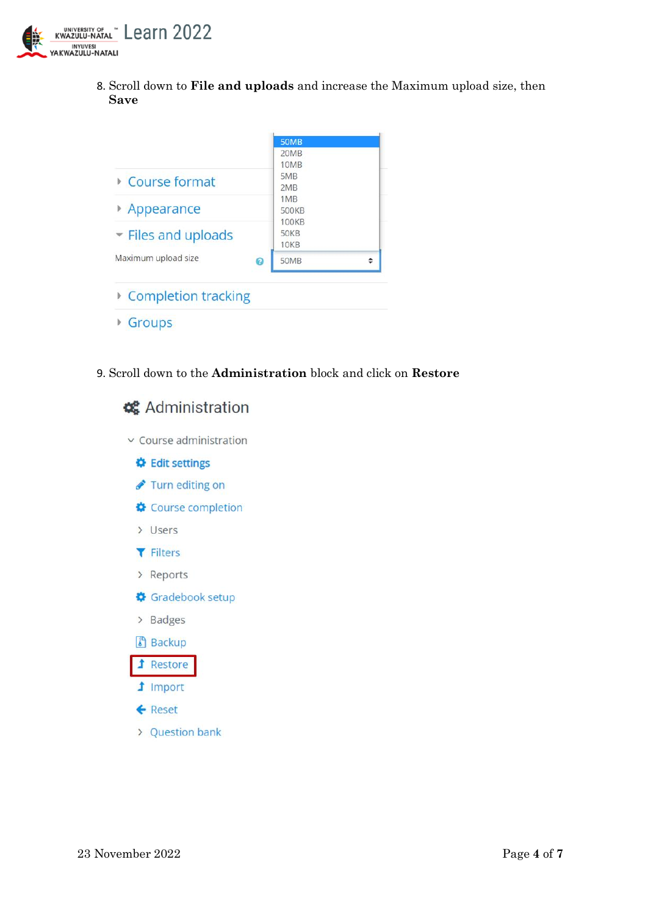

8. Scroll down to **File and uploads** and increase the Maximum upload size, then **Save**

|                          | <b>50MB</b>                  |  |
|--------------------------|------------------------------|--|
|                          | 20MB                         |  |
| Course format            | 10MB<br>5MB<br>2MB           |  |
| Appearance               | 1MB<br>500KB<br><b>100KB</b> |  |
| Files and uploads        | <b>50KB</b><br><b>10KB</b>   |  |
| Maximum upload size<br>ℯ | <b>50MB</b>                  |  |

- ▶ Completion tracking
- Groups
- 9. Scroll down to the **Administration** block and click on **Restore**

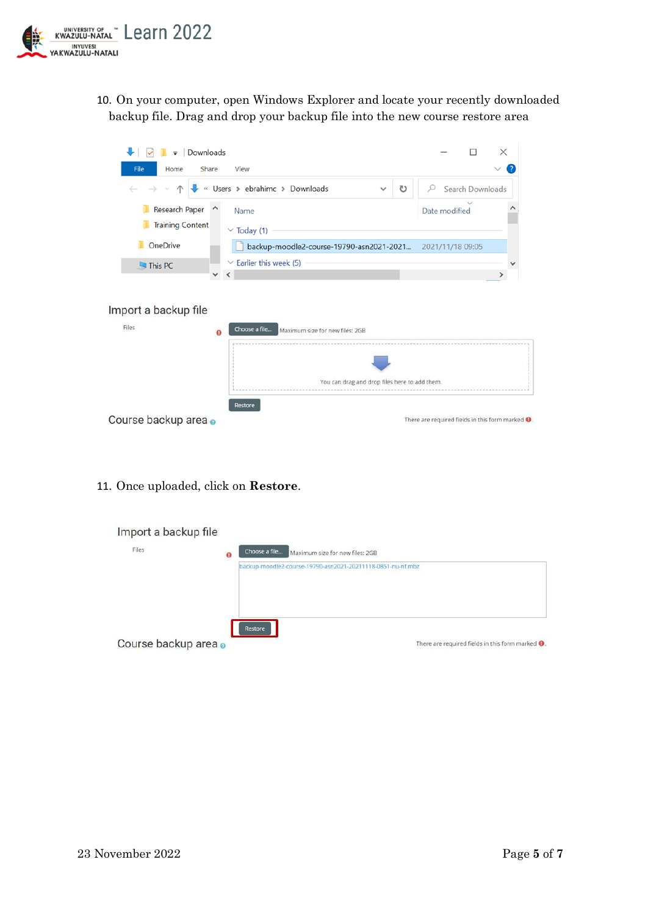

10. On your computer, open Windows Explorer and locate your recently downloaded backup file. Drag and drop your backup file into the new course restore area



11. Once uploaded, click on **Restore**.

| Import a backup file |                                                                        |
|----------------------|------------------------------------------------------------------------|
| Files<br>o           | Choose a file<br>Maximum size for new files: 2GB                       |
|                      | backup-moodle2-course-19790-asn2021-20211118-0851-nu-nf.mbz            |
| Course backup area o | Restore<br>There are required fields in this form marked $\mathbf 0$ . |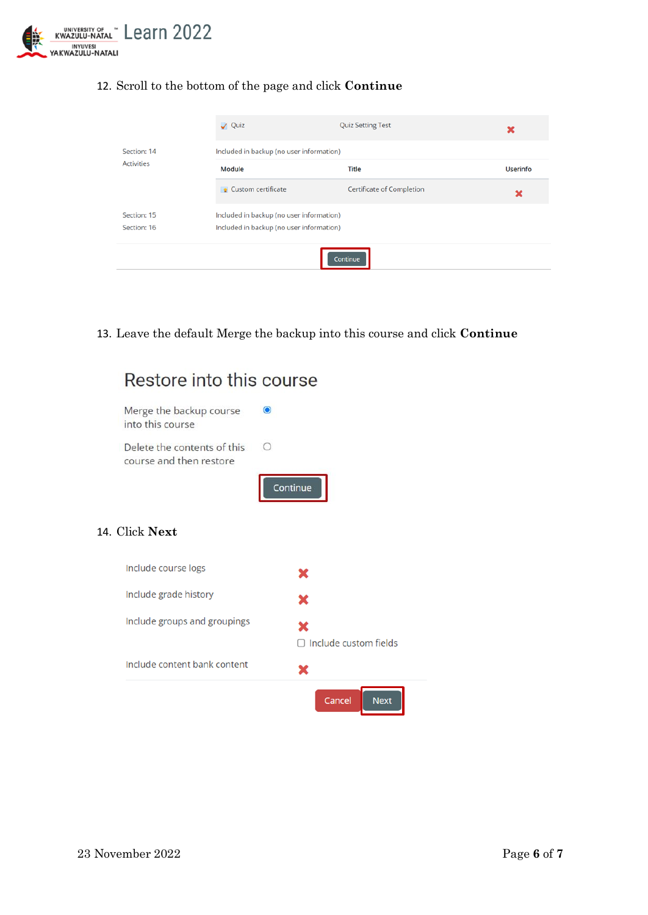

# 12. Scroll to the bottom of the page and click **Continue**

|                   | V Quiz                                   | <b>Quiz Setting Test</b>                 | ×               |  |  |
|-------------------|------------------------------------------|------------------------------------------|-----------------|--|--|
| Section: 14       |                                          | Included in backup (no user information) |                 |  |  |
| <b>Activities</b> | Module                                   | Title                                    | <b>Userinfo</b> |  |  |
|                   | <b>Custom certificate</b>                | <b>Certificate of Completion</b>         | ×               |  |  |
| Section: 15       | Included in backup (no user information) |                                          |                 |  |  |
| Section: 16       | Included in backup (no user information) |                                          |                 |  |  |
|                   |                                          | Continue                                 |                 |  |  |

13. Leave the default Merge the backup into this course and click **Continue**